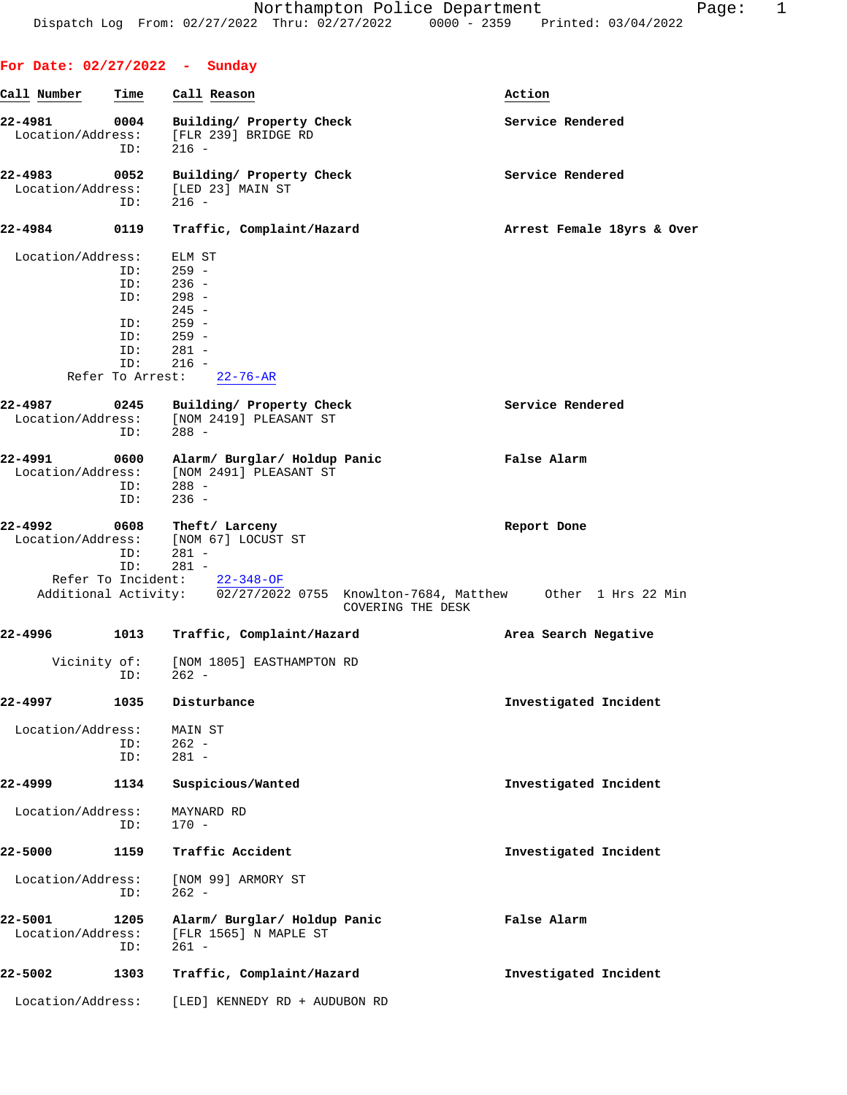| For Date: $02/27/2022 -$ Sunday |             |                                                                                                     |                            |
|---------------------------------|-------------|-----------------------------------------------------------------------------------------------------|----------------------------|
| Call Number                     | Time        | Call Reason                                                                                         | Action                     |
| 22-4981<br>Location/Address:    | 0004<br>ID: | Building/ Property Check<br>[FLR 239] BRIDGE RD<br>$216 -$                                          | Service Rendered           |
| 22-4983                         | 0052        | Building/ Property Check                                                                            | Service Rendered           |
| Location/Address:               | ID:         | [LED 23] MAIN ST<br>$216 -$                                                                         |                            |
| 22-4984                         | 0119        | Traffic, Complaint/Hazard                                                                           | Arrest Female 18yrs & Over |
| Location/Address:               |             | ELM ST                                                                                              |                            |
|                                 | ID:         | $259 -$<br>$236 -$                                                                                  |                            |
|                                 | ID:         |                                                                                                     |                            |
|                                 | ID:         | $298 -$                                                                                             |                            |
|                                 |             | $245 -$                                                                                             |                            |
|                                 | ID:         | $259 -$                                                                                             |                            |
|                                 | ID:<br>ID:  | $259 -$<br>$281 -$                                                                                  |                            |
|                                 | ID:         | $216 -$                                                                                             |                            |
|                                 |             | Refer To Arrest: 22-76-AR                                                                           |                            |
|                                 |             |                                                                                                     |                            |
| 22-4987                         | 0245        | Building/ Property Check                                                                            | Service Rendered           |
| Location/Address:               |             | [NOM 2419] PLEASANT ST                                                                              |                            |
|                                 | ID:         | $288 -$                                                                                             |                            |
| 22-4991                         | 0600        | Alarm/ Burglar/ Holdup Panic                                                                        | False Alarm                |
|                                 |             | Location/Address: [NOM 2491] PLEASANT ST                                                            |                            |
|                                 | ID:         | $288 -$                                                                                             |                            |
|                                 | ID:         | $236 -$                                                                                             |                            |
|                                 |             |                                                                                                     |                            |
| 22-4992                         | ID:         | 0608 Theft/Larceny<br>Location/Address: [NOM 67] LOCUST ST<br>281 -                                 | Report Done                |
|                                 | ID:         | 281 -                                                                                               |                            |
|                                 |             | Refer To Incident: $22-348-OF$                                                                      |                            |
|                                 |             | Additional Activity: 02/27/2022 0755 Knowlton-7684, Matthew 0ther 1 Hrs 22 Min<br>COVERING THE DESK |                            |
| 22-4996                         |             | 1013 Traffic, Complaint/Hazard                                                                      | Area Search Negative       |
| Vicinity of:                    | ID:         | [NOM 1805] EASTHAMPTON RD<br>262 -                                                                  |                            |
| 22-4997                         | 1035        | Disturbance                                                                                         | Investigated Incident      |
| Location/Address:               |             | MAIN ST                                                                                             |                            |
|                                 | ID:         | $262 -$                                                                                             |                            |
|                                 | ID:         | $281 -$                                                                                             |                            |
| 22-4999                         | 1134        | Suspicious/Wanted                                                                                   | Investigated Incident      |
| Location/Address:               | ID:         | MAYNARD RD<br>$170 -$                                                                               |                            |
| 22-5000                         | 1159        | Traffic Accident                                                                                    | Investigated Incident      |
| Location/Address:               | ID:         | [NOM 99] ARMORY ST<br>$262 -$                                                                       |                            |
| 22-5001<br>Location/Address:    | 1205<br>ID: | Alarm/ Burglar/ Holdup Panic<br>[FLR 1565] N MAPLE ST<br>$261 -$                                    | False Alarm                |
| 22-5002                         | 1303        | Traffic, Complaint/Hazard                                                                           | Investigated Incident      |
| Location/Address:               |             | [LED] KENNEDY RD + AUDUBON RD                                                                       |                            |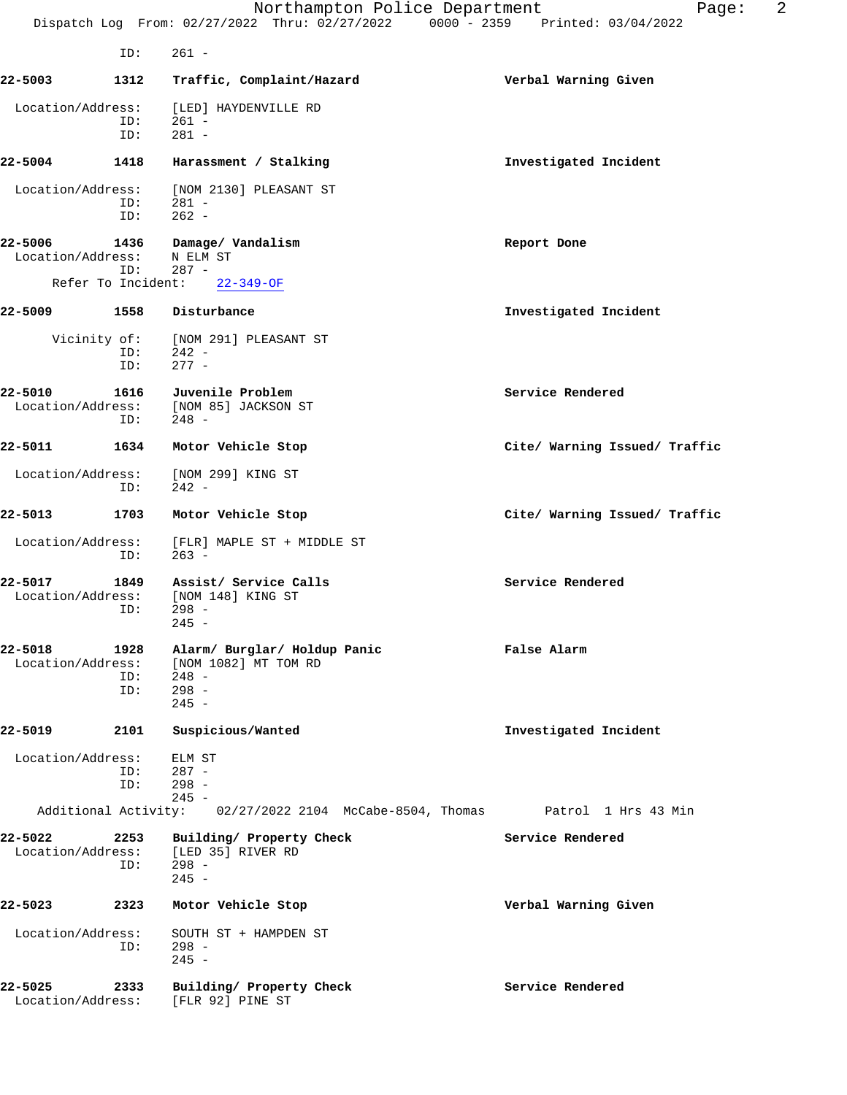|                              |                    | Northampton Police Department<br>Dispatch Log From: 02/27/2022 Thru: 02/27/2022 0000 - 2359 Printed: 03/04/2022 | 2<br>Page:                    |
|------------------------------|--------------------|-----------------------------------------------------------------------------------------------------------------|-------------------------------|
|                              | ID:                | $261 -$                                                                                                         |                               |
| 22-5003                      | 1312               | Traffic, Complaint/Hazard                                                                                       | Verbal Warning Given          |
| Location/Address:            | ID:<br>ID:         | [LED] HAYDENVILLE RD<br>$261 -$<br>$281 -$                                                                      |                               |
| 22-5004                      | 1418               | Harassment / Stalking                                                                                           | Investigated Incident         |
| Location/Address:            | ID:<br>ID:         | [NOM 2130] PLEASANT ST<br>$281 -$<br>$262 -$                                                                    |                               |
| 22-5006<br>Location/Address: | 1436<br>ID:        | Damage/ Vandalism<br>N ELM ST<br>$287 -$                                                                        | Report Done                   |
|                              | Refer To Incident: | $22 - 349 - OF$                                                                                                 |                               |
| 22-5009                      | 1558               | Disturbance                                                                                                     | Investigated Incident         |
| Vicinity of:                 | ID:<br>ID:         | [NOM 291] PLEASANT ST<br>$242 -$<br>$277 -$                                                                     |                               |
| 22-5010<br>Location/Address: | 1616<br>ID:        | Juvenile Problem<br>[NOM 85] JACKSON ST<br>$248 -$                                                              | Service Rendered              |
| 22-5011                      | 1634               | Motor Vehicle Stop                                                                                              | Cite/ Warning Issued/ Traffic |
| Location/Address:            | ID:                | [NOM 299] KING ST<br>$242 -$                                                                                    |                               |
| 22-5013                      | 1703               | Motor Vehicle Stop                                                                                              | Cite/ Warning Issued/ Traffic |
| Location/Address:            | ID:                | [FLR] MAPLE ST + MIDDLE ST<br>$263 -$                                                                           |                               |
| 22-5017<br>Location/Address: | 1849<br>ID:        | Assist/ Service Calls<br>[NOM 148] KING ST<br>$298 -$<br>$245 -$                                                | Service Rendered              |
| 22-5018<br>Location/Address: | 1928<br>ID:<br>ID: | Alarm/ Burglar/ Holdup Panic<br>[NOM 1082] MT TOM RD<br>$248 -$<br>$298 -$<br>$245 -$                           | False Alarm                   |
| 22-5019                      | 2101               | Suspicious/Wanted                                                                                               | Investigated Incident         |
| Location/Address:            | ID:<br>ID:         | ELM ST<br>$287 -$<br>$298 -$<br>$245 -$                                                                         |                               |
|                              |                    | Additional Activity: 02/27/2022 2104 McCabe-8504, Thomas Patrol 1 Hrs 43 Min                                    |                               |
| 22-5022<br>Location/Address: | 2253<br>ID:        | Building/ Property Check<br>[LED 35] RIVER RD<br>$298 -$<br>$245 -$                                             | Service Rendered              |
| 22-5023                      | 2323               | Motor Vehicle Stop                                                                                              | Verbal Warning Given          |
| Location/Address:            | ID:                | SOUTH ST + HAMPDEN ST<br>$298 -$<br>$245 -$                                                                     |                               |
| 22-5025<br>Location/Address: | 2333               | Building/ Property Check<br>[FLR 92] PINE ST                                                                    | Service Rendered              |